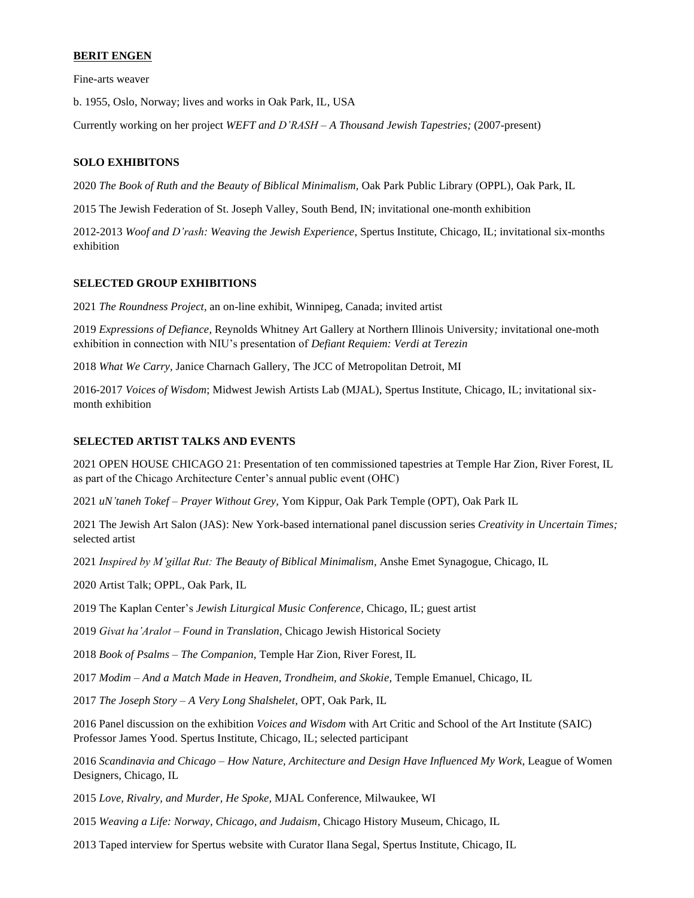## **BERIT ENGEN**

Fine-arts weaver

b. 1955, Oslo, Norway; lives and works in Oak Park, IL, USA

Currently working on her project *WEFT and D'RASH – A Thousand Jewish Tapestries;* (2007-present)

### **SOLO EXHIBITONS**

2020 *The Book of Ruth and the Beauty of Biblical Minimalism,* Oak Park Public Library (OPPL), Oak Park, IL

2015 The Jewish Federation of St. Joseph Valley, South Bend, IN; invitational one-month exhibition

2012-2013 *Woof and D'rash: Weaving the Jewish Experience*, Spertus Institute, Chicago, IL; invitational six-months exhibition

#### **SELECTED GROUP EXHIBITIONS**

2021 *The Roundness Project,* an on-line exhibit, Winnipeg, Canada; invited artist

2019 *Expressions of Defiance,* Reynolds Whitney Art Gallery at Northern Illinois University*;* invitational one-moth exhibition in connection with NIU's presentation of *Defiant Requiem: Verdi at Terezin*

2018 *What We Carry,* Janice Charnach Gallery, The JCC of Metropolitan Detroit, MI

2016-2017 *Voices of Wisdom*; Midwest Jewish Artists Lab (MJAL), Spertus Institute, Chicago, IL; invitational sixmonth exhibition

#### **SELECTED ARTIST TALKS AND EVENTS**

2021 OPEN HOUSE CHICAGO 21: Presentation of ten commissioned tapestries at Temple Har Zion, River Forest, IL as part of the Chicago Architecture Center's annual public event (OHC)

2021 *uN'taneh Tokef – Prayer Without Grey,* Yom Kippur, Oak Park Temple (OPT), Oak Park IL

2021 The Jewish Art Salon (JAS): New York-based international panel discussion series *Creativity in Uncertain Times;*  selected artist

2021 *Inspired by M'gillat Rut: The Beauty of Biblical Minimalism,* Anshe Emet Synagogue, Chicago, IL

2020 Artist Talk; OPPL, Oak Park, IL

2019 The Kaplan Center's *Jewish Liturgical Music Conference,* Chicago, IL; guest artist

2019 *Givat ha'Aralot – Found in Translation,* Chicago Jewish Historical Society

2018 *Book of Psalms – The Companion,* Temple Har Zion, River Forest, IL

2017 *Modim – And a Match Made in Heaven, Trondheim, and Skokie,* Temple Emanuel, Chicago, IL

2017 *The Joseph Story – A Very Long Shalshelet,* OPT, Oak Park, IL

2016 Panel discussion on the exhibition *Voices and Wisdom* with Art Critic and School of the Art Institute (SAIC) Professor James Yood. Spertus Institute, Chicago, IL; selected participant

2016 *Scandinavia and Chicago – How Nature, Architecture and Design Have Influenced My Work,* League of Women Designers, Chicago, IL

2015 *Love, Rivalry, and Murder, He Spoke,* MJAL Conference, Milwaukee, WI

2015 *Weaving a Life: Norway, Chicago, and Judaism,* Chicago History Museum, Chicago, IL

2013 Taped interview for Spertus website with Curator Ilana Segal, Spertus Institute, Chicago, IL